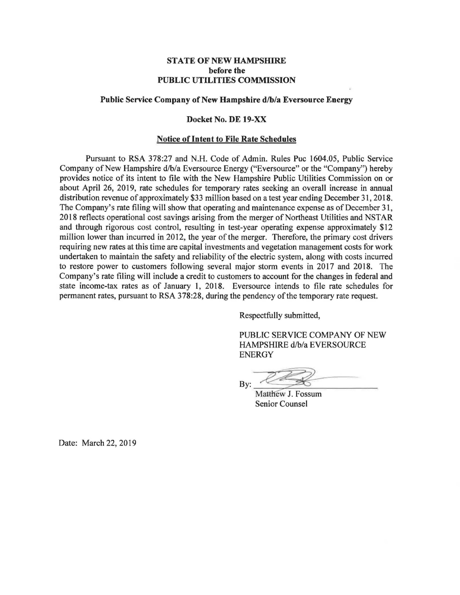## **STATE OF NEW HAMPSHIRE before the PUBLIC UTILITIES COMMISSION**

## **Public Service Company of New Hampshire d/b/a Eversource Energy**

### **Docket No. DE 19-XX**

#### **Notice of Intent to File Rate Schedules**

Pursuant to RSA 378:27 and N.H. Code of Admin. Rules Puc 1604.05, Public Service Company of New Hampshire d/b/a Eversource Energy ("Eversource" or the "Company") hereby provides notice of its intent to file with the New Hampshire Public Utilities Commission on or about April 26, 2019, rate schedules for temporary rates seeking an overall increase in annual distribution revenue of approximately \$33 million based on a test year ending December 31, 2018. The Company's rate filing will show that operating and maintenance expense as of December 31, 2018 reflects operational cost savings arising from the merger of Northeast Utilities and NSTAR and through rigorous cost control, resulting in test-year operating expense approximately \$12 million lower than incurred in 2012, the year of the merger. Therefore, the primary cost drivers requiring new rates at this time are capital investments and vegetation management costs for work undertaken to maintain the safety and reliability of the electric system, along with costs incurred to restore power to customers following several major storm events in 2017 and 2018. The Company's rate filing will include a credit to customers to account for the changes in federal and state income-tax rates as of January 1, 2018. Eversource intends to file rate schedules for permanent rates, pursuant to RSA 378:28, during the pendency of the temporary rate request.

Respectfully submitted,

PUBLIC SERVICE COMPANY OF NEW HAMPSHIRE d/b/a EVERSOURCE<br>
ENERGY<br>
By: Matthew J. Fossum<br>
Senior Counsel ENERGY

Matthew J. Fossum **Senior Counsel** 

Date: March 22, 2019